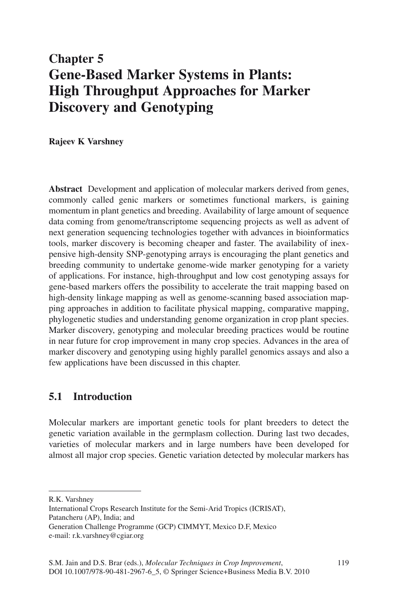# **Chapter 5 Gene-Based Marker Systems in Plants: High Throughput Approaches for Marker Discovery and Genotyping**

**Rajeev K Varshney**

**Abstract** Development and application of molecular markers derived from genes, commonly called genic markers or sometimes functional markers, is gaining momentum in plant genetics and breeding. Availability of large amount of sequence data coming from genome/transcriptome sequencing projects as well as advent of next generation sequencing technologies together with advances in bioinformatics tools, marker discovery is becoming cheaper and faster. The availability of inexpensive high-density SNP-genotyping arrays is encouraging the plant genetics and breeding community to undertake genome-wide marker genotyping for a variety of applications. For instance, high-throughput and low cost genotyping assays for gene-based markers offers the possibility to accelerate the trait mapping based on high-density linkage mapping as well as genome-scanning based association mapping approaches in addition to facilitate physical mapping, comparative mapping, phylogenetic studies and understanding genome organization in crop plant species. Marker discovery, genotyping and molecular breeding practices would be routine in near future for crop improvement in many crop species. Advances in the area of marker discovery and genotyping using highly parallel genomics assays and also a few applications have been discussed in this chapter.

## **5.1 Introduction**

Molecular markers are important genetic tools for plant breeders to detect the genetic variation available in the germplasm collection. During last two decades, varieties of molecular markers and in large numbers have been developed for almost all major crop species. Genetic variation detected by molecular markers has

R.K. Varshney

International Crops Research Institute for the Semi-Arid Tropics (ICRISAT), Patancheru (AP), India; and

Generation Challenge Programme (GCP) CIMMYT, Mexico D.F, Mexico e-mail: r.k.varshney@cgiar.org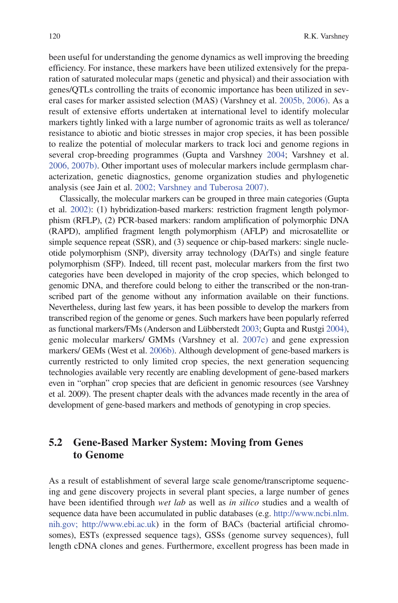been useful for understanding the genome dynamics as well improving the breeding efficiency. For instance, these markers have been utilized extensively for the preparation of saturated molecular maps (genetic and physical) and their association with genes/QTLs controlling the traits of economic importance has been utilized in several cases for marker assisted selection (MAS) (Varshney et al. [2005b,](#page-23-0) [2006\)](#page-23-1). As a result of extensive efforts undertaken at international level to identify molecular markers tightly linked with a large number of agronomic traits as well as tolerance/ resistance to abiotic and biotic stresses in major crop species, it has been possible to realize the potential of molecular markers to track loci and genome regions in several crop-breeding programmes (Gupta and Varshney [2004;](#page-20-0) Varshney et al. [2006,](#page-23-1) [2007b\)](#page-23-2). Other important uses of molecular markers include germplasm characterization, genetic diagnostics, genome organization studies and phylogenetic analysis (see Jain et al. [2002; Varshney and Tuberosa 2007\)](#page-21-0).

Classically, the molecular markers can be grouped in three main categories (Gupta et al. [2002\)](#page-20-1): (1) hybridization-based markers: restriction fragment length polymorphism (RFLP), (2) PCR-based markers: random amplification of polymorphic DNA (RAPD), amplified fragment length polymorphism (AFLP) and microsatellite or simple sequence repeat (SSR), and (3) sequence or chip-based markers: single nucleotide polymorphism (SNP), diversity array technology (DArTs) and single feature polymorphism (SFP). Indeed, till recent past, molecular markers from the first two categories have been developed in majority of the crop species, which belonged to genomic DNA, and therefore could belong to either the transcribed or the non-transcribed part of the genome without any information available on their functions. Nevertheless, during last few years, it has been possible to develop the markers from transcribed region of the genome or genes. Such markers have been popularly referred as functional markers/FMs (Anderson and Lübberstedt [2003](#page-19-0); Gupta and Rustgi [2004\)](#page-20-0), genic molecular markers/ GMMs (Varshney et al. [2007c\)](#page-23-3) and gene expression markers/ GEMs (West et al. [2006b\).](#page-23-4) Although development of gene-based markers is currently restricted to only limited crop species, the next generation sequencing technologies available very recently are enabling development of gene-based markers even in "orphan" crop species that are deficient in genomic resources (see Varshney et al. 2009). The present chapter deals with the advances made recently in the area of development of gene-based markers and methods of genotyping in crop species.

## **5.2 Gene-Based Marker System: Moving from Genes to Genome**

As a result of establishment of several large scale genome/transcriptome sequencing and gene discovery projects in several plant species, a large number of genes have been identified through *wet lab* as well as *in silico* studies and a wealth of sequence data have been accumulated in public databases (e.g. http://www.ncbi.nlm. nih.gov; http://www.ebi.ac.uk) in the form of BACs (bacterial artificial chromosomes), ESTs (expressed sequence tags), GSSs (genome survey sequences), full length cDNA clones and genes. Furthermore, excellent progress has been made in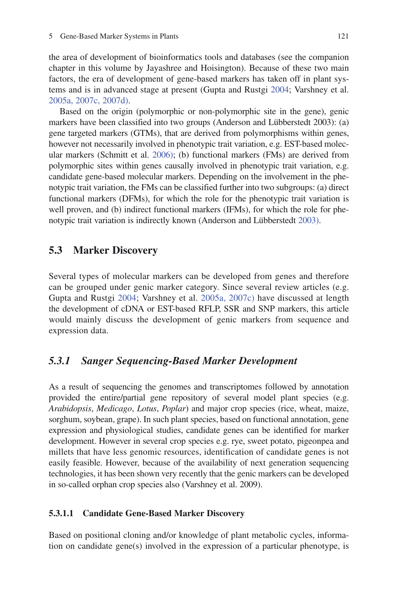the area of development of bioinformatics tools and databases (see the companion chapter in this volume by Jayashree and Hoisington). Because of these two main factors, the era of development of gene-based markers has taken off in plant systems and is in advanced stage at present (Gupta and Rustgi [2004](#page-20-0); Varshney et al. [2005a,](#page-23-5) [2007c, 2007d\).](#page-23-3)

Based on the origin (polymorphic or non-polymorphic site in the gene), genic markers have been classified into two groups (Anderson and Lübberstedt 2003): (a) gene targeted markers (GTMs), that are derived from polymorphisms within genes, however not necessarily involved in phenotypic trait variation, e.g. EST-based molecular markers (Schmitt et al. [2006\)](#page-22-0); (b) functional markers (FMs) are derived from polymorphic sites within genes causally involved in phenotypic trait variation, e.g. candidate gene-based molecular markers. Depending on the involvement in the phenotypic trait variation, the FMs can be classified further into two subgroups: (a) direct functional markers (DFMs), for which the role for the phenotypic trait variation is well proven, and (b) indirect functional markers (IFMs), for which the role for phenotypic trait variation is indirectly known (Anderson and Lübberstedt [2003\)](#page-19-0).

## **5.3 Marker Discovery**

Several types of molecular markers can be developed from genes and therefore can be grouped under genic marker category. Since several review articles (e.g. Gupta and Rustgi [2004;](#page-20-0) Varshney et al. [2005a,](#page-23-5) [2007c\)](#page-23-3) have discussed at length the development of cDNA or EST-based RFLP, SSR and SNP markers, this article would mainly discuss the development of genic markers from sequence and expression data.

## *5.3.1 Sanger Sequencing-Based Marker Development*

As a result of sequencing the genomes and transcriptomes followed by annotation provided the entire/partial gene repository of several model plant species (e.g. *Arabidopsis*, *Medicago*, *Lotus*, *Poplar*) and major crop species (rice, wheat, maize, sorghum, soybean, grape). In such plant species, based on functional annotation, gene expression and physiological studies, candidate genes can be identified for marker development. However in several crop species e.g. rye, sweet potato, pigeonpea and millets that have less genomic resources, identification of candidate genes is not easily feasible. However, because of the availability of next generation sequencing technologies, it has been shown very recently that the genic markers can be developed in so-called orphan crop species also (Varshney et al. 2009).

#### **5.3.1.1 Candidate Gene-Based Marker Discovery**

Based on positional cloning and/or knowledge of plant metabolic cycles, information on candidate gene(s) involved in the expression of a particular phenotype, is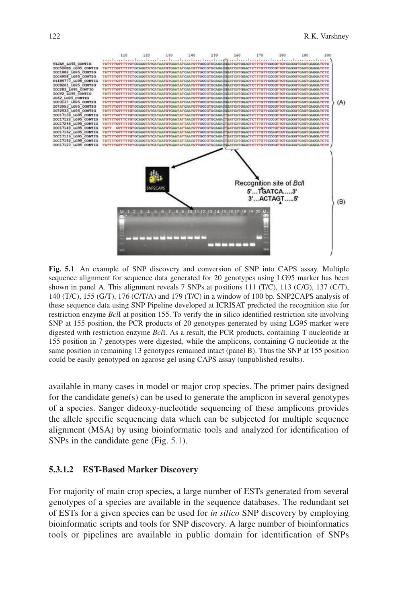<span id="page-3-0"></span>

**Fig. 5.1** An example of SNP discovery and conversion of SNP into CAPS assay. Multiple sequence alignment for sequence data generated for 20 genotypes using LG95 marker has been shown in panel A. This alignment reveals 7 SNPs at positions 111 (T/C), 113 (C/G), 137 (C/T), 140 (T/C), 155 (G/T), 176 (C/T/A) and 179 (T/C) in a window of 100 bp. SNP2CAPS analysis of these sequence data using SNP Pipeline developed at ICRISAT predicted the recognition site for restriction enzyme *Bcl*I at position 155. To verify the in silico identified restriction site involving SNP at 155 position, the PCR products of 20 genotypes generated by using LG95 marker were digested with restriction enzyme *Bcl*I. As a result, the PCR products, containing T nucleotide at 155 position in 7 genotypes were digested, while the amplicons, containing G nucleotide at the same position in remaining 13 genotypes remained intact (panel B). Thus the SNP at 155 position could be easily genotyped on agarose gel using CAPS assay (unpublished results).

available in many cases in model or major crop species. The primer pairs designed for the candidate gene(s) can be used to generate the amplicon in several genotypes of a species. Sanger dideoxy-nucleotide sequencing of these amplicons provides the allele specific sequencing data which can be subjected for multiple sequence alignment (MSA) by using bioinformatic tools and analyzed for identification of SNPs in the candidate gene (Fig. [5.1](#page-3-0)).

#### **5.3.1.2 EST-Based Marker Discovery**

For majority of main crop species, a large number of ESTs generated from several genotypes of a species are available in the sequence databases. The redundant set of ESTs for a given species can be used for *in silico* SNP discovery by employing bioinformatic scripts and tools for SNP discovery. A large number of bioinformatics tools or pipelines are available in public domain for identification of SNPs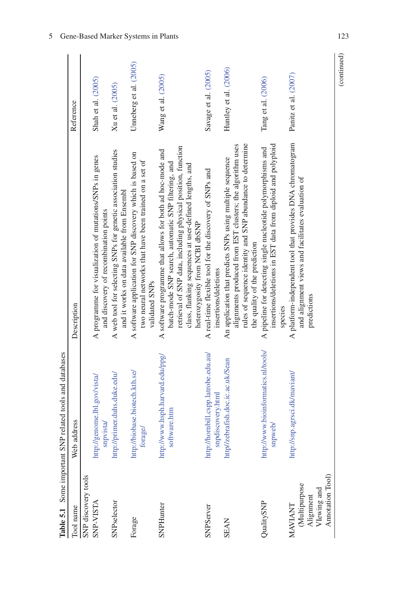|                                                                                 | Table 5.1 Some important SNP related tools and databases  |                                                                                                                                                                                                                                                                              |                        |
|---------------------------------------------------------------------------------|-----------------------------------------------------------|------------------------------------------------------------------------------------------------------------------------------------------------------------------------------------------------------------------------------------------------------------------------------|------------------------|
| Tool name                                                                       | Web address                                               | Description                                                                                                                                                                                                                                                                  | Reference              |
| SNP discovery tools                                                             |                                                           |                                                                                                                                                                                                                                                                              |                        |
| <b>SNP-VISTA</b>                                                                | http://genome.lbl.gov/vista/<br>snpvista/                 | A programme for visualization of mutations/SNPs in genes<br>and discovery of recombination points                                                                                                                                                                            | Shah et al. (2005)     |
| SNPselector                                                                     | http://primer.duhs.duke.edu/                              | A web tool for selecting SNPs for genetic association studies<br>and it works on data available from Ensembl                                                                                                                                                                 | Xu et al. (2005)       |
| Forage                                                                          | http://biobase.biotech.kth.se/<br>forage/                 | software application for SNP discovery which is based on<br>two neural networks that have been trained on a set of<br>validated SNPs<br>∢                                                                                                                                    | Unneberg et al. (2005) |
| SNPHunter                                                                       | http://www.hsph.harvard.edu/ppg/<br>software.htm          | retrieval of SNP data, including physical position, function<br>A software programme that allows for both ad hoc-mode and<br>batch-mode SNP search, automatic SNP filtering, and<br>class, flanking sequences at user-defined lengths, and<br>heterozygosity from NCBI dbSNP | Wang et al. (2005)     |
| SNPServer                                                                       | http://hornbill.cspp.latrobe.edu.au/<br>snpdiscovery.html | A real-time flexible tool for the discovery of SNPs and<br>insertions/deletions                                                                                                                                                                                              | Savage et al. (2005)   |
| <b>SEAN</b>                                                                     | http//zebrafish.doc.ic.ac.uk/Sean                         | rules of sequence identity and SNP abundance to determine<br>alignments produced from EST clusters; the algorithm uses<br>An application that predicts SNPs using multiple sequence<br>the quality of the prediction                                                         | Huntley et al. (2006)  |
| QualitySNP                                                                      | http://www.bioinformatics.nl/tools/<br>snpweb/            | insertions/deletions in EST data from diploid and polyploid<br>A pipeline for detecting single nucleotide polymorphisms and<br>species                                                                                                                                       | Tang et al. (2006)     |
| Annotation Tool)<br>(Multipurpose<br>Vlewing and<br>Alignment<br><b>MAVIANT</b> | http://snp.agrsci.dk/maviant/                             | A platform-independent tool that provides DNA chromatogram<br>and alignment views and facilitates evaluation of<br>predictions                                                                                                                                               | Panitz et al. (2007)   |
|                                                                                 |                                                           |                                                                                                                                                                                                                                                                              | (continued)            |

<span id="page-4-0"></span>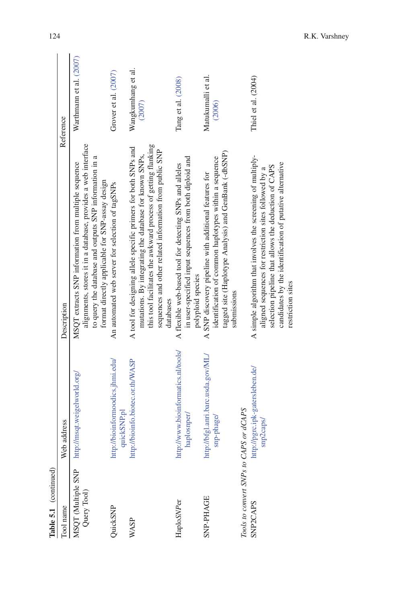| Table 5.1 (continued)                  |                                                    |                                                                                                                                                                                                                                                                   |                              |
|----------------------------------------|----------------------------------------------------|-------------------------------------------------------------------------------------------------------------------------------------------------------------------------------------------------------------------------------------------------------------------|------------------------------|
| Tool name                              | Web address                                        | Description                                                                                                                                                                                                                                                       | Reference                    |
| MSQT (Multiple SNP<br>Query Tool)      | http://msqt.weigelworld.org/                       | alignments, stores it in a database, provides a web interface<br>to query the database and outputs SNP information in a<br>MSQT extracts SNP information from multiple sequence<br>format directly applicable for SNP-assay design                                | Warthmann et al. (2007)      |
| QuickSNP                               | http://bioinformoodics.jhmi.edu/<br>quickSNP.pl    | An automated web server for selection of tagSNPs                                                                                                                                                                                                                  | Grover et al. $(2007)$       |
| <b>WASP</b>                            | http://bioinfo.biotec.or.th/WASP                   | this tool facilitates the awkward process of getting flanking<br>A tool for designing allele specific primers for both SNPs and<br>sequences and other related information from public SNP<br>mutations. By integrating the database for known SNPs,<br>databases | Wangkumhang et al.<br>(2007) |
| HaploSNPer                             | http://www.bioinformatics.nl/tools/<br>haplosnper/ | in user-specified input sequences from both diploid and<br>A flexible web-based tool for detecting SNPs and alleles<br>polyploid species                                                                                                                          | Tang et al. (2008)           |
| <b>SNP-PHAGE</b>                       | http://bfgl.ami.barc.usda.gov/ML/<br>snp-phage/    | tagged site (Haplotype Analysis) and GenBank (-dbSNP)<br>identification of common haplotypes within a sequence<br>A SNP discovery pipeline with additional features for<br>submissions                                                                            | Matukumalli et al.<br>(2006) |
| Tools to convert SNPs to CAPS or dCAPS |                                                    |                                                                                                                                                                                                                                                                   |                              |
| SNP2CAPS                               | http://pgrc.ipk-gatersleben.de/<br>snp2caps/       | A simple algorithm that involves the screening of multiply-<br>candidates by the identification of putative alternative<br>selection pipeline that allows the deduction of CAPS<br>aligned sequences for restriction sites followed by a<br>restriction sites     | Thiel et al. (2004)          |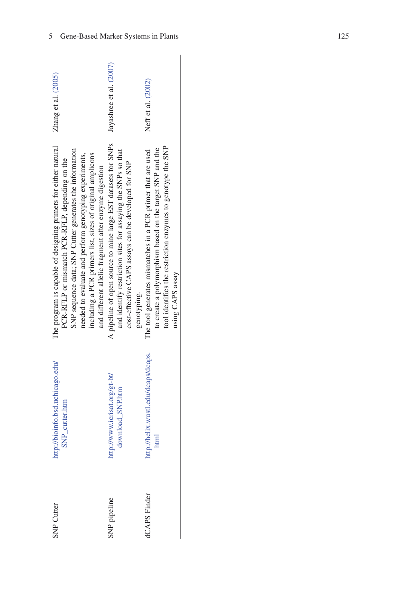| <b>SNP</b> Cutter   | http://bioinfo.bsd.uchicago.edu/<br>SNP_cutter.htm | The program is capable of designing primers for either natural<br>SNP sequence data; SNP Cutter generates the information<br>including a PCR primers list, sizes of original amplicons<br>needed to evaluate and perform genotyping experiments,<br>PCR-RFLP or mismatch PCR-RFLP, depending on the | Zhang et al. $(2005)$   |
|---------------------|----------------------------------------------------|-----------------------------------------------------------------------------------------------------------------------------------------------------------------------------------------------------------------------------------------------------------------------------------------------------|-------------------------|
| SNP pipeline        | http://www.icrisat.org/gt-bt/<br>download SNP.htm  | A pipeline of open source to mine large EST datasets for SNPs<br>and identify restriction sites for assaying the SNPs so that<br>cost-effective CAPS assays can be developed for SNP<br>and different allelic fragment after enzyme digestion                                                       | Jayashree et al. (2007) |
| <b>ICAPS</b> Finder | http://helix.wustl.edu/dcaps/dcaps.<br>html        | tool identifies the restriction enzymes to genotype the SNP<br>to create a polymorphism based on the target SNP and the<br>The tool generates mismatches in a PCR primer that are used<br>using CAPS assay<br>genotyping.                                                                           | Neff et al. (2002)      |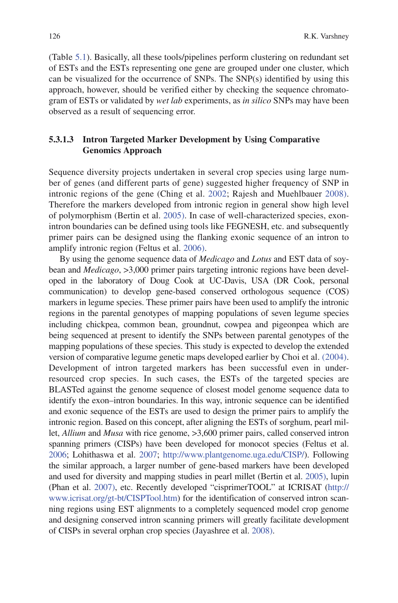(Table [5.1\)](#page-4-0). Basically, all these tools/pipelines perform clustering on redundant set of ESTs and the ESTs representing one gene are grouped under one cluster, which can be visualized for the occurrence of SNPs. The SNP(s) identified by using this approach, however, should be verified either by checking the sequence chromatogram of ESTs or validated by *wet lab* experiments, as *in silico* SNPs may have been observed as a result of sequencing error.

#### **5.3.1.3 Intron Targeted Marker Development by Using Comparative Genomics Approach**

Sequence diversity projects undertaken in several crop species using large number of genes (and different parts of gene) suggested higher frequency of SNP in intronic regions of the gene (Ching et al. [2002](#page-20-4); Rajesh and Muehlbauer [2008\)](#page-22-5). Therefore the markers developed from intronic region in general show high level of polymorphism (Bertin et al. [2005\).](#page-19-1) In case of well-characterized species, exonintron boundaries can be defined using tools like FEGNESH, etc. and subsequently primer pairs can be designed using the flanking exonic sequence of an intron to amplify intronic region (Feltus et al. [2006\)](#page-20-5).

By using the genome sequence data of *Medicago* and *Lotus* and EST data of soybean and *Medicago*, >3,000 primer pairs targeting intronic regions have been developed in the laboratory of Doug Cook at UC-Davis, USA (DR Cook, personal communication) to develop gene-based conserved orthologous sequence (COS) markers in legume species. These primer pairs have been used to amplify the intronic regions in the parental genotypes of mapping populations of seven legume species including chickpea, common bean, groundnut, cowpea and pigeonpea which are being sequenced at present to identify the SNPs between parental genotypes of the mapping populations of these species. This study is expected to develop the extended version of comparative legume genetic maps developed earlier by Choi et al. [\(2004\)](#page-20-6). Development of intron targeted markers has been successful even in underresourced crop species. In such cases, the ESTs of the targeted species are BLASTed against the genome sequence of closest model genome sequence data to identify the exon–intron boundaries. In this way, intronic sequence can be identified and exonic sequence of the ESTs are used to design the primer pairs to amplify the intronic region. Based on this concept, after aligning the ESTs of sorghum, pearl millet, *Allium* and *Musa* with rice genome, >3,600 primer pairs, called conserved intron spanning primers (CISPs) have been developed for monocot species (Feltus et al. [2006](#page-20-5); Lohithaswa et al. [2007](#page-21-5); http://www.plantgenome.uga.edu/CISP/). Following the similar approach, a larger number of gene-based markers have been developed and used for diversity and mapping studies in pearl millet (Bertin et al. [2005\)](#page-19-1), lupin (Phan et al. [2007\),](#page-22-6) etc. Recently developed "cisprimerTOOL" at ICRISAT (http:// www.icrisat.org/gt-bt/CISPTool.htm) for the identification of conserved intron scanning regions using EST alignments to a completely sequenced model crop genome and designing conserved intron scanning primers will greatly facilitate development of CISPs in several orphan crop species (Jayashree et al. [2008\)](#page-21-6).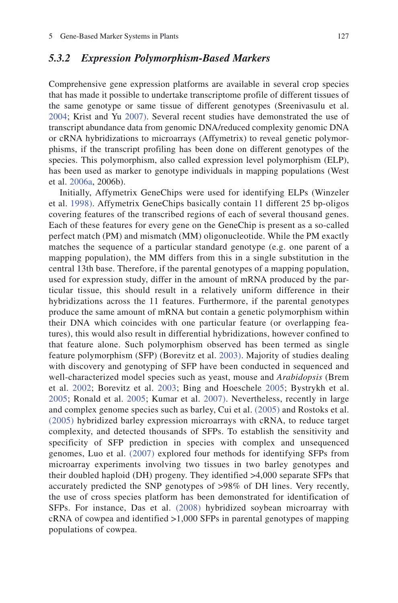#### *5.3.2 Expression Polymorphism-Based Markers*

Comprehensive gene expression platforms are available in several crop species that has made it possible to undertake transcriptome profile of different tissues of the same genotype or same tissue of different genotypes (Sreenivasulu et al. [2004](#page-22-7); Krist and Yu [2007\).](#page-21-7) Several recent studies have demonstrated the use of transcript abundance data from genomic DNA/reduced complexity genomic DNA or cRNA hybridizations to microarrays (Affymetrix) to reveal genetic polymorphisms, if the transcript profiling has been done on different genotypes of the species. This polymorphism, also called expression level polymorphism (ELP), has been used as marker to genotype individuals in mapping populations (West et al. [2006a,](#page-23-12) 2006b).

Initially, Affymetrix GeneChips were used for identifying ELPs (Winzeler et al. [1998\)](#page-23-13). Affymetrix GeneChips basically contain 11 different 25 bp-oligos covering features of the transcribed regions of each of several thousand genes. Each of these features for every gene on the GeneChip is present as a so-called perfect match (PM) and mismatch (MM) oligonucleotide. While the PM exactly matches the sequence of a particular standard genotype (e.g. one parent of a mapping population), the MM differs from this in a single substitution in the central 13th base. Therefore, if the parental genotypes of a mapping population, used for expression study, differ in the amount of mRNA produced by the particular tissue, this should result in a relatively uniform difference in their hybridizations across the 11 features. Furthermore, if the parental genotypes produce the same amount of mRNA but contain a genetic polymorphism within their DNA which coincides with one particular feature (or overlapping features), this would also result in differential hybridizations, however confined to that feature alone. Such polymorphism observed has been termed as single feature polymorphism (SFP) (Borevitz et al. [2003\)](#page-19-2). Majority of studies dealing with discovery and genotyping of SFP have been conducted in sequenced and well-characterized model species such as yeast, mouse and *Arabidopsis* (Brem et al. [2002;](#page-19-3) Borevitz et al. [2003](#page-19-2); Bing and Hoeschele [2005](#page-19-4); Bystrykh et al. [2005;](#page-19-5) Ronald et al. [2005](#page-22-8); Kumar et al. [2007\)](#page-21-8). Nevertheless, recently in large and complex genome species such as barley, Cui et al. [\(2005\)](#page-20-7) and Rostoks et al. [\(2005\)](#page-22-9) hybridized barley expression microarrays with cRNA, to reduce target complexity, and detected thousands of SFPs. To establish the sensitivity and specificity of SFP prediction in species with complex and unsequenced genomes, Luo et al. [\(2007\)](#page-21-9) explored four methods for identifying SFPs from microarray experiments involving two tissues in two barley genotypes and their doubled haploid (DH) progeny. They identified >4,000 separate SFPs that accurately predicted the SNP genotypes of >98% of DH lines. Very recently, the use of cross species platform has been demonstrated for identification of SFPs. For instance, Das et al. [\(2008\)](#page-20-8) hybridized soybean microarray with cRNA of cowpea and identified >1,000 SFPs in parental genotypes of mapping populations of cowpea.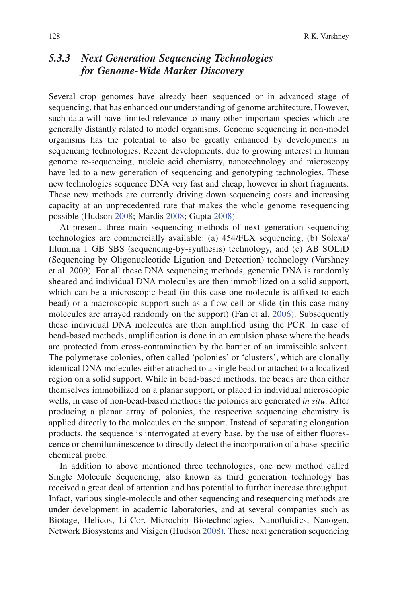# *5.3.3 Next Generation Sequencing Technologies for Genome-Wide Marker Discovery*

Several crop genomes have already been sequenced or in advanced stage of sequencing, that has enhanced our understanding of genome architecture. However, such data will have limited relevance to many other important species which are generally distantly related to model organisms. Genome sequencing in non-model organisms has the potential to also be greatly enhanced by developments in sequencing technologies. Recent developments, due to growing interest in human genome re-sequencing, nucleic acid chemistry, nanotechnology and microscopy have led to a new generation of sequencing and genotyping technologies. These new technologies sequence DNA very fast and cheap, however in short fragments. These new methods are currently driving down sequencing costs and increasing capacity at an unprecedented rate that makes the whole genome resequencing possible (Hudson [2008;](#page-20-9) Mardis [2008](#page-21-10); Gupta [2008\).](#page-20-10)

At present, three main sequencing methods of next generation sequencing technologies are commercially available: (a) 454/FLX sequencing, (b) Solexa/ Illumina 1 GB SBS (sequencing-by-synthesis) technology, and (c) AB SOLiD (Sequencing by Oligonucleotide Ligation and Detection) technology (Varshney et al. 2009). For all these DNA sequencing methods, genomic DNA is randomly sheared and individual DNA molecules are then immobilized on a solid support, which can be a microscopic bead (in this case one molecule is affixed to each bead) or a macroscopic support such as a flow cell or slide (in this case many molecules are arrayed randomly on the support) (Fan et al. [2006\).](#page-20-11) Subsequently these individual DNA molecules are then amplified using the PCR. In case of bead-based methods, amplification is done in an emulsion phase where the beads are protected from cross-contamination by the barrier of an immiscible solvent. The polymerase colonies, often called 'polonies' or 'clusters', which are clonally identical DNA molecules either attached to a single bead or attached to a localized region on a solid support. While in bead-based methods, the beads are then either themselves immobilized on a planar support, or placed in individual microscopic wells, in case of non-bead-based methods the polonies are generated *in situ*. After producing a planar array of polonies, the respective sequencing chemistry is applied directly to the molecules on the support. Instead of separating elongation products, the sequence is interrogated at every base, by the use of either fluorescence or chemiluminescence to directly detect the incorporation of a base-specific chemical probe.

In addition to above mentioned three technologies, one new method called Single Molecule Sequencing, also known as third generation technology has received a great deal of attention and has potential to further increase throughput. Infact, various single-molecule and other sequencing and resequencing methods are under development in academic laboratories, and at several companies such as Biotage, Helicos, Li-Cor, Microchip Biotechnologies, Nanofluidics, Nanogen, Network Biosystems and Visigen (Hudson [2008\)](#page-20-9). These next generation sequencing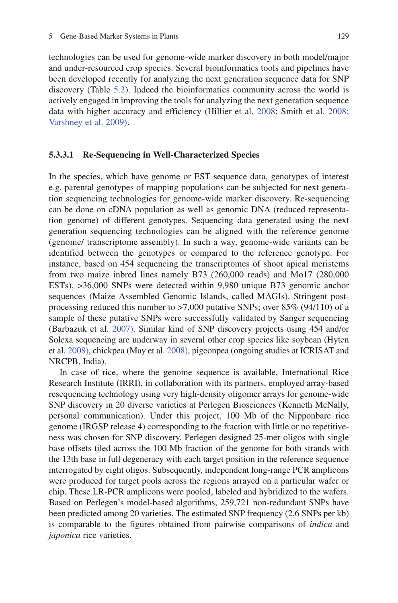technologies can be used for genome-wide marker discovery in both model/major and under-resourced crop species. Several bioinformatics tools and pipelines have been developed recently for analyzing the next generation sequence data for SNP discovery (Table [5.2](#page-11-0)). Indeed the bioinformatics community across the world is actively engaged in improving the tools for analyzing the next generation sequence data with higher accuracy and efficiency (Hillier et al. [2008](#page-20-12); Smith et al. [2008;](#page-22-10)  [Varshney et al. 2009\)](#page-22-10).

#### **5.3.3.1 Re-Sequencing in Well-Characterized Species**

In the species, which have genome or EST sequence data, genotypes of interest e.g. parental genotypes of mapping populations can be subjected for next generation sequencing technologies for genome-wide marker discovery. Re-sequencing can be done on cDNA population as well as genomic DNA (reduced representation genome) of different genotypes. Sequencing data generated using the next generation sequencing technologies can be aligned with the reference genome (genome/ transcriptome assembly). In such a way, genome-wide variants can be identified between the genotypes or compared to the reference genotype. For instance, based on 454 sequencing the transcriptomes of shoot apical meristems from two maize inbred lines namely B73 (260,000 reads) and Mo17 (280,000 ESTs), >36,000 SNPs were detected within 9,980 unique B73 genomic anchor sequences (Maize Assembled Genomic Islands, called MAGIs). Stringent postprocessing reduced this number to >7,000 putative SNPs; over 85% (94/110) of a sample of these putative SNPs were successfully validated by Sanger sequencing (Barbazuk et al. [2007\)](#page-19-6). Similar kind of SNP discovery projects using 454 and/or Solexa sequencing are underway in several other crop species like soybean (Hyten et al. [2008\),](#page-21-11) chickpea (May et al. [2008\)](#page-21-12), pigeonpea (ongoing studies at ICRISAT and NRCPB, India).

In case of rice, where the genome sequence is available, International Rice Research Institute (IRRI), in collaboration with its partners, employed array-based resequencing technology using very high-density oligomer arrays for genome-wide SNP discovery in 20 diverse varieties at Perlegen Biosciences (Kenneth McNally, personal communication). Under this project, 100 Mb of the Nipponbare rice genome (IRGSP release 4) corresponding to the fraction with little or no repetitiveness was chosen for SNP discovery. Perlegen designed 25-mer oligos with single base offsets tiled across the 100 Mb fraction of the genome for both strands with the 13th base in full degeneracy with each target position in the reference sequence interrogated by eight oligos. Subsequently, independent long-range PCR amplicons were produced for target pools across the regions arrayed on a particular wafer or chip. These LR-PCR amplicons were pooled, labeled and hybridized to the wafers. Based on Perlegen's model-based algorithms, 259,721 non-redundant SNPs have been predicted among 20 varieties. The estimated SNP frequency (2.6 SNPs per kb) is comparable to the figures obtained from pairwise comparisons of *indica* and *japonica* rice varieties.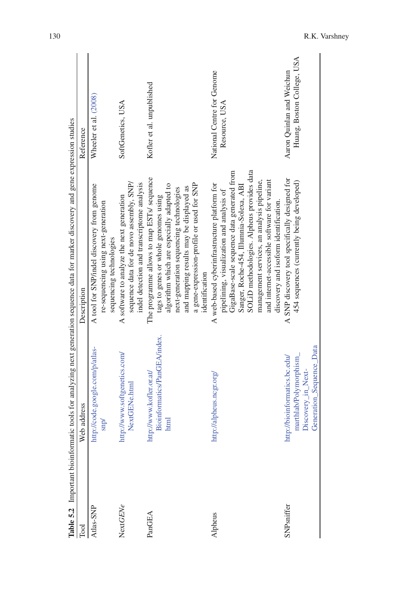<span id="page-11-0"></span>

|                 | lable 5.2 Important bioinformatic tools for analyzing next generation sequence data for marker discovery and gene expression studies |                                                                                                                                                                                                                                                                                                                                                                          |                                                         |
|-----------------|--------------------------------------------------------------------------------------------------------------------------------------|--------------------------------------------------------------------------------------------------------------------------------------------------------------------------------------------------------------------------------------------------------------------------------------------------------------------------------------------------------------------------|---------------------------------------------------------|
| <b>Lool</b>     | Web address                                                                                                                          | Description                                                                                                                                                                                                                                                                                                                                                              | Reference                                               |
| Atlas-SNP       | http://code.google.com/p/atlas-<br>$\gamma$                                                                                          | A tool for SNP/indel discovery from genome<br>re-sequencing using next-generation<br>sequencing technologies                                                                                                                                                                                                                                                             | Wheeler et al. (2008)                                   |
| <b>NextGENe</b> | http://www.softgenetics.com/<br>NextGENe.html                                                                                        | sequence data for de novo assembly, SNP/<br>indel detection and transcriptome analysis<br>A software to analyze the next generation                                                                                                                                                                                                                                      | SoftGenetics, USA                                       |
| PanGEA          | Bioinformatics/PanGEA/index.<br>http://www.kofler.or.at/<br>html                                                                     | The programme allows to map ESTs/ sequence<br>a gene-expression-profile or used for SNP<br>algorithm which are especially adapted to<br>and mapping results may be displayed as<br>next-generation sequencing technologies<br>tags to genes or whole genomes using<br>identification                                                                                     | Kofler et al. unpublished                               |
| Alpheus         | http://alpheus.ncgr.org/                                                                                                             | SOLID methodologies. Alpheus provides data<br>GigaBase-scale sequence data generated from<br>and internet-accessible software for variant<br>management services, an analysis pipeline,<br>A web-based cyberinfrastructure platform for<br>Sanger, Roche-454, Illumnia-Solexa, ABI<br>pipelining, visualization and analysis of<br>discovery and isoform identification. | National Centre for Genome<br>Resource, USA             |
| SNPsniffer      | Generation_Sequence_Data<br>marthlab/Polymorphism_<br>http://bioinformatics.bc.edu/<br>Discovery_in_Next-                            | A SNP discovery tool specifically designed for<br>454 sequences (currently being developed)                                                                                                                                                                                                                                                                              | Huang, Boston College, USA<br>Aaron Quinlan and Weichun |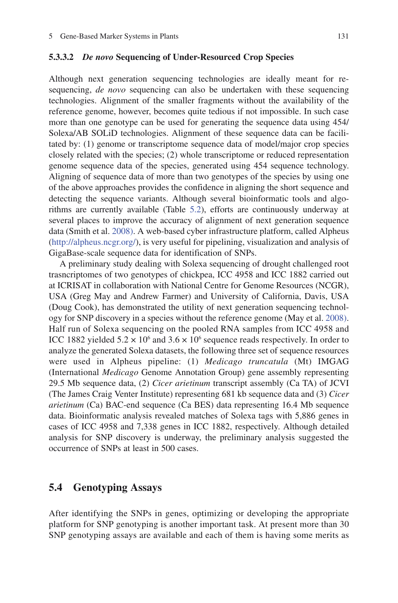#### **5.3.3.2** *De novo* **Sequencing of Under-Resourced Crop Species**

Although next generation sequencing technologies are ideally meant for resequencing, *de novo* sequencing can also be undertaken with these sequencing technologies. Alignment of the smaller fragments without the availability of the reference genome, however, becomes quite tedious if not impossible. In such case more than one genotype can be used for generating the sequence data using 454/ Solexa/AB SOLiD technologies. Alignment of these sequence data can be facilitated by: (1) genome or transcriptome sequence data of model/major crop species closely related with the species; (2) whole transcriptome or reduced representation genome sequence data of the species, generated using 454 sequence technology. Aligning of sequence data of more than two genotypes of the species by using one of the above approaches provides the confidence in aligning the short sequence and detecting the sequence variants. Although several bioinformatic tools and algorithms are currently available (Table [5.2](#page-11-0)), efforts are continuously underway at several places to improve the accuracy of alignment of next generation sequence data (Smith et al. [2008\)](#page-22-10). A web-based cyber infrastructure platform, called Alpheus (http://alpheus.ncgr.org/), is very useful for pipelining, visualization and analysis of GigaBase-scale sequence data for identification of SNPs.

A preliminary study dealing with Solexa sequencing of drought challenged root trasncriptomes of two genotypes of chickpea, ICC 4958 and ICC 1882 carried out at ICRISAT in collaboration with National Centre for Genome Resources (NCGR), USA (Greg May and Andrew Farmer) and University of California, Davis, USA (Doug Cook), has demonstrated the utility of next generation sequencing technology for SNP discovery in a species without the reference genome (May et al. [2008\)](#page-21-12). Half run of Solexa sequencing on the pooled RNA samples from ICC 4958 and ICC 1882 yielded  $5.2 \times 10^6$  and  $3.6 \times 10^6$  sequence reads respectively. In order to analyze the generated Solexa datasets, the following three set of sequence resources were used in Alpheus pipeline: (1) *Medicago truncatula* (Mt) IMGAG (International *Medicago* Genome Annotation Group) gene assembly representing 29.5 Mb sequence data, (2) *Cicer arietinum* transcript assembly (Ca TA) of JCVI (The James Craig Venter Institute) representing 681 kb sequence data and (3) *Cicer arietinum* (Ca) BAC-end sequence (Ca BES) data representing 16.4 Mb sequence data. Bioinformatic analysis revealed matches of Solexa tags with 5,886 genes in cases of ICC 4958 and 7,338 genes in ICC 1882, respectively. Although detailed analysis for SNP discovery is underway, the preliminary analysis suggested the occurrence of SNPs at least in 500 cases.

## **5.4 Genotyping Assays**

After identifying the SNPs in genes, optimizing or developing the appropriate platform for SNP genotyping is another important task. At present more than 30 SNP genotyping assays are available and each of them is having some merits as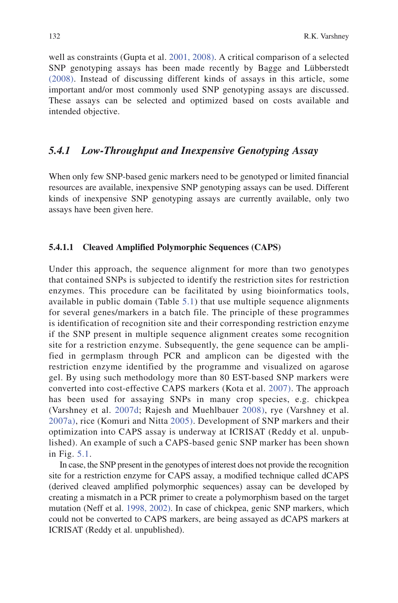well as constraints (Gupta et al. [2001,](#page-20-13) [2008\).](#page-20-14) A critical comparison of a selected SNP genotyping assays has been made recently by Bagge and Lübberstedt [\(2008\)](#page-19-7). Instead of discussing different kinds of assays in this article, some important and/or most commonly used SNP genotyping assays are discussed. These assays can be selected and optimized based on costs available and intended objective.

## *5.4.1 Low-Throughput and Inexpensive Genotyping Assay*

When only few SNP-based genic markers need to be genotyped or limited financial resources are available, inexpensive SNP genotyping assays can be used. Different kinds of inexpensive SNP genotyping assays are currently available, only two assays have been given here.

#### **5.4.1.1 Cleaved Amplified Polymorphic Sequences (CAPS)**

Under this approach, the sequence alignment for more than two genotypes that contained SNPs is subjected to identify the restriction sites for restriction enzymes. This procedure can be facilitated by using bioinformatics tools, available in public domain (Table [5.1\)](#page-4-0) that use multiple sequence alignments for several genes/markers in a batch file. The principle of these programmes is identification of recognition site and their corresponding restriction enzyme if the SNP present in multiple sequence alignment creates some recognition site for a restriction enzyme. Subsequently, the gene sequence can be amplified in germplasm through PCR and amplicon can be digested with the restriction enzyme identified by the programme and visualized on agarose gel. By using such methodology more than 80 EST-based SNP markers were converted into cost-effective CAPS markers (Kota et al. [2007\).](#page-21-13) The approach has been used for assaying SNPs in many crop species, e.g. chickpea (Varshney et al. [2007d](#page-23-15); Rajesh and Muehlbauer [2008\)](#page-22-5), rye (Varshney et al. [2007a\)](#page-23-15), rice (Komuri and Nitta [2005\)](#page-21-14). Development of SNP markers and their optimization into CAPS assay is underway at ICRISAT (Reddy et al. unpublished). An example of such a CAPS-based genic SNP marker has been shown in Fig. [5.1.](#page-3-0)

In case, the SNP present in the genotypes of interest does not provide the recognition site for a restriction enzyme for CAPS assay, a modified technique called dCAPS (derived cleaved amplified polymorphic sequences) assay can be developed by creating a mismatch in a PCR primer to create a polymorphism based on the target mutation (Neff et al. [1998,](#page-21-15) [2002\)](#page-21-4). In case of chickpea, genic SNP markers, which could not be converted to CAPS markers, are being assayed as dCAPS markers at ICRISAT (Reddy et al. unpublished).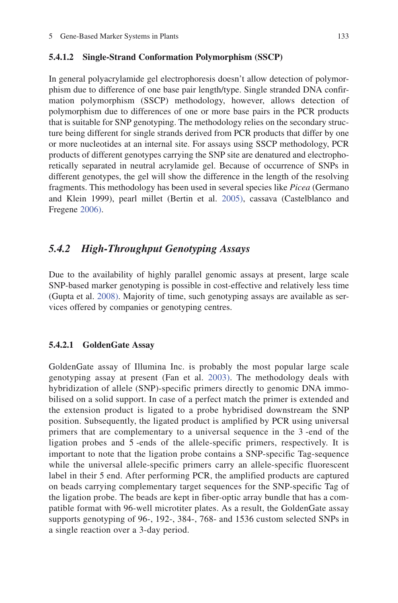#### **5.4.1.2 Single-Strand Conformation Polymorphism (SSCP)**

In general polyacrylamide gel electrophoresis doesn't allow detection of polymorphism due to difference of one base pair length/type. Single stranded DNA confirmation polymorphism (SSCP) methodology, however, allows detection of polymorphism due to differences of one or more base pairs in the PCR products that is suitable for SNP genotyping. The methodology relies on the secondary structure being different for single strands derived from PCR products that differ by one or more nucleotides at an internal site. For assays using SSCP methodology, PCR products of different genotypes carrying the SNP site are denatured and electrophoretically separated in neutral acrylamide gel. Because of occurrence of SNPs in different genotypes, the gel will show the difference in the length of the resolving fragments. This methodology has been used in several species like *Picea* (Germano and Klein 1999), pearl millet (Bertin et al. [2005\)](#page-19-1), cassava (Castelblanco and Fregene [2006\).](#page-20-15)

## *5.4.2 High-Throughput Genotyping Assays*

Due to the availability of highly parallel genomic assays at present, large scale SNP-based marker genotyping is possible in cost-effective and relatively less time (Gupta et al. [2008\).](#page-20-14) Majority of time, such genotyping assays are available as services offered by companies or genotyping centres.

#### **5.4.2.1 GoldenGate Assay**

GoldenGate assay of Illumina Inc. is probably the most popular large scale genotyping assay at present (Fan et al. [2003\).](#page-20-11) The methodology deals with hybridization of allele (SNP)-specific primers directly to genomic DNA immobilised on a solid support. In case of a perfect match the primer is extended and the extension product is ligated to a probe hybridised downstream the SNP position. Subsequently, the ligated product is amplified by PCR using universal primers that are complementary to a universal sequence in the 3-end of the ligation probes and 5-ends of the allele-specific primers, respectively. It is important to note that the ligation probe contains a SNP-specific Tag-sequence while the universal allele-specific primers carry an allele-specific fluorescent label in their 5 end. After performing PCR, the amplified products are captured on beads carrying complementary target sequences for the SNP-specific Tag of the ligation probe. The beads are kept in fiber-optic array bundle that has a compatible format with 96-well microtiter plates. As a result, the GoldenGate assay supports genotyping of 96-, 192-, 384-, 768- and 1536 custom selected SNPs in a single reaction over a 3-day period.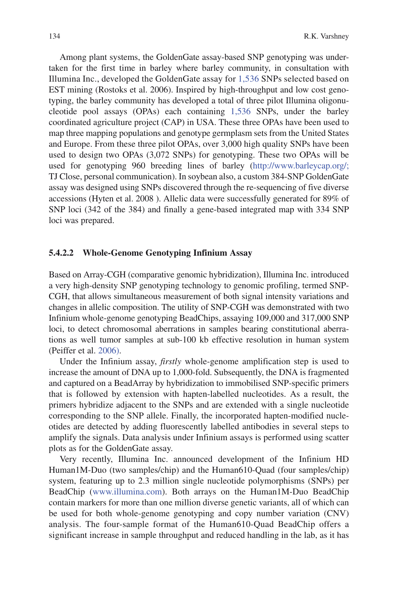Among plant systems, the GoldenGate assay-based SNP genotyping was undertaken for the first time in barley where barley community, in consultation with Illumina Inc., developed the GoldenGate assay for [1,536](#page-22-11) SNPs selected based on EST mining (Rostoks et al. 2006). Inspired by high-throughput and low cost genotyping, the barley community has developed a total of three pilot Illumina oligonucleotide pool assays (OPAs) each containing [1,536](#page-21-11) SNPs, under the barley coordinated agriculture project (CAP) in USA. These three OPAs have been used to map three mapping populations and genotype germplasm sets from the United States and Europe. From these three pilot OPAs, over 3,000 high quality SNPs have been used to design two OPAs (3,072 SNPs) for genotyping. These two OPAs will be used for genotyping 960 breeding lines of barley (http://www.barleycap.org/; TJ Close, personal communication). In soybean also, a custom 384-SNP GoldenGate assay was designed using SNPs discovered through the re-sequencing of five diverse accessions (Hyten et al. 2008 ). Allelic data were successfully generated for 89% of SNP loci (342 of the 384) and finally a gene-based integrated map with 334 SNP loci was prepared.

#### **5.4.2.2 Whole-Genome Genotyping Infinium Assay**

Based on Array-CGH (comparative genomic hybridization), Illumina Inc. introduced a very high-density SNP genotyping technology to genomic profiling, termed SNP-CGH, that allows simultaneous measurement of both signal intensity variations and changes in allelic composition. The utility of SNP-CGH was demonstrated with two Infinium whole-genome genotyping BeadChips, assaying 109,000 and 317,000 SNP loci, to detect chromosomal aberrations in samples bearing constitutional aberrations as well tumor samples at sub-100 kb effective resolution in human system (Peiffer et al. [2006\).](#page-22-12)

Under the Infinium assay, *firstly* whole-genome amplification step is used to increase the amount of DNA up to 1,000-fold. Subsequently, the DNA is fragmented and captured on a BeadArray by hybridization to immobilised SNP-specific primers that is followed by extension with hapten-labelled nucleotides. As a result, the primers hybridize adjacent to the SNPs and are extended with a single nucleotide corresponding to the SNP allele. Finally, the incorporated hapten-modified nucleotides are detected by adding fluorescently labelled antibodies in several steps to amplify the signals. Data analysis under Infinium assays is performed using scatter plots as for the GoldenGate assay.

Very recently, Illumina Inc. announced development of the Infinium HD Human1M-Duo (two samples/chip) and the Human610-Quad (four samples/chip) system, featuring up to 2.3 million single nucleotide polymorphisms (SNPs) per BeadChip (www.illumina.com). Both arrays on the Human1M-Duo BeadChip contain markers for more than one million diverse genetic variants, all of which can be used for both whole-genome genotyping and copy number variation (CNV) analysis. The four-sample format of the Human610-Quad BeadChip offers a significant increase in sample throughput and reduced handling in the lab, as it has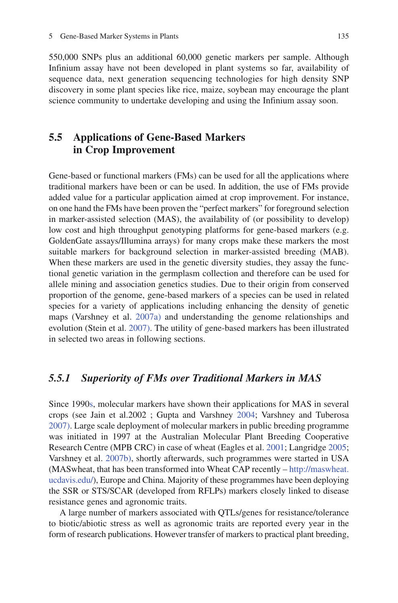550,000 SNPs plus an additional 60,000 genetic markers per sample. Although Infinium assay have not been developed in plant systems so far, availability of sequence data, next generation sequencing technologies for high density SNP discovery in some plant species like rice, maize, soybean may encourage the plant science community to undertake developing and using the Infinium assay soon.

## **5.5 Applications of Gene-Based Markers in Crop Improvement**

Gene-based or functional markers (FMs) can be used for all the applications where traditional markers have been or can be used. In addition, the use of FMs provide added value for a particular application aimed at crop improvement. For instance, on one hand the FMs have been proven the "perfect markers" for foreground selection in marker-assisted selection (MAS), the availability of (or possibility to develop) low cost and high throughput genotyping platforms for gene-based markers (e.g. GoldenGate assays/Illumina arrays) for many crops make these markers the most suitable markers for background selection in marker-assisted breeding (MAB). When these markers are used in the genetic diversity studies, they assay the functional genetic variation in the germplasm collection and therefore can be used for allele mining and association genetics studies. Due to their origin from conserved proportion of the genome, gene-based markers of a species can be used in related species for a variety of applications including enhancing the density of genetic maps (Varshney et al. [2007a\)](#page-23-15) and understanding the genome relationships and evolution (Stein et al. [2007\).](#page-22-13) The utility of gene-based markers has been illustrated in selected two areas in following sections.

### *5.5.1 Superiority of FMs over Traditional Markers in MAS*

Since 1990[s,](#page-21-0) molecular markers have shown their applications for MAS in several crops (see Jain et al.2002 ; Gupta and Varshney [2004;](#page-20-0) Varshney and Tuberosa [2007\)](#page-23-16). Large scale deployment of molecular markers in public breeding programme was initiated in 1997 at the Australian Molecular Plant Breeding Cooperative Research Centre (MPB CRC) in case of wheat (Eagles et al. [2001](#page-20-16); Langridge [2005;](#page-21-16) Varshney et al. [2007b\),](#page-23-2) shortly afterwards, such programmes were started in USA (MASwheat, that has been transformed into Wheat CAP recently – http://maswheat. ucdavis.edu/), Europe and China. Majority of these programmes have been deploying the SSR or STS/SCAR (developed from RFLPs) markers closely linked to disease resistance genes and agronomic traits.

A large number of markers associated with QTLs/genes for resistance/tolerance to biotic/abiotic stress as well as agronomic traits are reported every year in the form of research publications. However transfer of markers to practical plant breeding,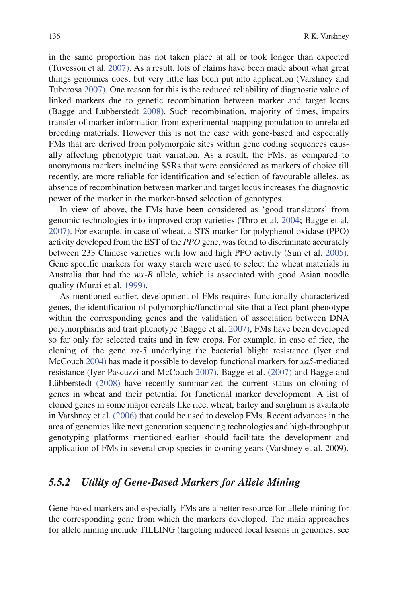in the same proportion has not taken place at all or took longer than expected (Tuvesson et al. [2007\).](#page-22-14) As a result, lots of claims have been made about what great things genomics does, but very little has been put into application (Varshney and Tuberosa [2007\)](#page-23-16). One reason for this is the reduced reliability of diagnostic value of linked markers due to genetic recombination between marker and target locus (Bagge and Lübberstedt [2008\).](#page-19-7) Such recombination, majority of times, impairs transfer of marker information from experimental mapping population to unrelated breeding materials. However this is not the case with gene-based and especially FMs that are derived from polymorphic sites within gene coding sequences causally affecting phenotypic trait variation. As a result, the FMs, as compared to anonymous markers including SSRs that were considered as markers of choice till recently, are more reliable for identification and selection of favourable alleles, as absence of recombination between marker and target locus increases the diagnostic power of the marker in the marker-based selection of genotypes.

In view of above, the FMs have been considered as 'good translators' from genomic technologies into improved crop varieties (Thro et al. [2004](#page-22-15); Bagge et al. [2007\)](#page-19-8). For example, in case of wheat, a STS marker for polyphenol oxidase (PPO) activity developed from the EST of the *PPO* gene, was found to discriminate accurately between 233 Chinese varieties with low and high PPO activity (Sun et al. [2005\)](#page-22-16). Gene specific markers for waxy starch were used to select the wheat materials in Australia that had the *wx-B* allele, which is associated with good Asian noodle quality (Murai et al. [1999\).](#page-21-17)

As mentioned earlier, development of FMs requires functionally characterized genes, the identification of polymorphic/functional site that affect plant phenotype within the corresponding genes and the validation of association between DNA polymorphisms and trait phenotype (Bagge et al. [2007\),](#page-19-8) FMs have been developed so far only for selected traits and in few crops. For example, in case of rice, the cloning of the gene *xa-5* underlying the bacterial blight resistance (Iyer and McCouch [2004\)](#page-21-18) has made it possible to develop functional markers for *xa5*-mediated resistance (Iyer-Pascuzzi and McCouch [2007\)](#page-21-19). Bagge et al. [\(2007\)](#page-19-8) and Bagge and Lübberstedt [\(2008\)](#page-19-7) have recently summarized the current status on cloning of genes in wheat and their potential for functional marker development. A list of cloned genes in some major cereals like rice, wheat, barley and sorghum is available in Varshney et al. [\(2006\)](#page-23-1) that could be used to develop FMs. Recent advances in the area of genomics like next generation sequencing technologies and high-throughput genotyping platforms mentioned earlier should facilitate the development and application of FMs in several crop species in coming years (Varshney et al. 2009).

## *5.5.2 Utility of Gene-Based Markers for Allele Mining*

Gene-based markers and especially FMs are a better resource for allele mining for the corresponding gene from which the markers developed. The main approaches for allele mining include TILLING (targeting induced local lesions in genomes, see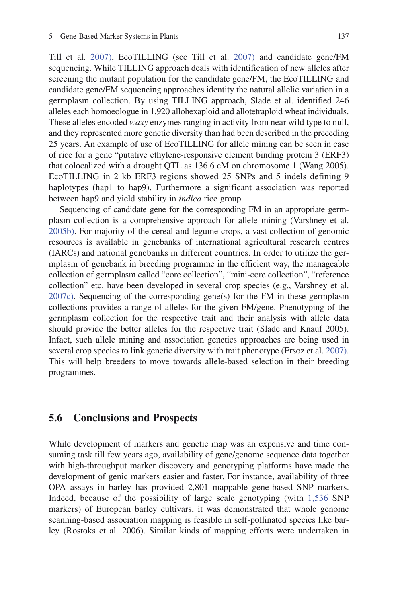Till et al. [2007\)](#page-22-17), EcoTILLING (see Till et al. [2007\)](#page-22-17) and candidate gene/FM sequencing. While TILLING approach deals with identification of new alleles after screening the mutant population for the candidate gene/FM, the EcoTILLING and candidate gene/FM sequencing approaches identity the natural allelic variation in a germplasm collection. By using TILLING approach, Slade et al. identified 246 alleles each homoeologue in 1,920 allohexaploid and allotetraploid wheat individuals. These alleles encoded *waxy* enzymes ranging in activity from near wild type to null, and they represented more genetic diversity than had been described in the preceding 25 years. An example of use of EcoTILLING for allele mining can be seen in case of rice for a gene "putative ethylene-responsive element binding protein 3 (ERF3) that colocalized with a drought QTL as 136.6 cM on chromosome 1 (Wang 2005). EcoTILLING in 2 kb ERF3 regions showed 25 SNPs and 5 indels defining 9 haplotypes (hap1 to hap9). Furthermore a significant association was reported between hap9 and yield stability in *indica* rice group.

Sequencing of candidate gene for the corresponding FM in an appropriate germplasm collection is a comprehensive approach for allele mining (Varshney et al. [2005b\).](#page-23-0) For majority of the cereal and legume crops, a vast collection of genomic resources is available in genebanks of international agricultural research centres (IARCs) and national genebanks in different countries. In order to utilize the germplasm of genebank in breeding programme in the efficient way, the manageable collection of germplasm called "core collection", "mini-core collection", "reference collection" etc. have been developed in several crop species (e.g., Varshney et al. [2007c\)](#page-23-3). Sequencing of the corresponding gene(s) for the FM in these germplasm collections provides a range of alleles for the given FM/gene. Phenotyping of the germplasm collection for the respective trait and their analysis with allele data should provide the better alleles for the respective trait (Slade and Knauf 2005). Infact, such allele mining and association genetics approaches are being used in several crop species to link genetic diversity with trait phenotype (Ersoz et al. [2007\)](#page-20-17). This will help breeders to move towards allele-based selection in their breeding programmes.

#### **5.6 Conclusions and Prospects**

While development of markers and genetic map was an expensive and time consuming task till few years ago, availability of gene/genome sequence data together with high-throughput marker discovery and genotyping platforms have made the development of genic markers easier and faster. For instance, availability of three OPA assays in barley has provided 2,801 mappable gene-based SNP markers. Indeed, because of the possibility of large scale genotyping (with [1,536](#page-22-11) SNP markers) of European barley cultivars, it was demonstrated that whole genome scanning-based association mapping is feasible in self-pollinated species like barley (Rostoks et al. 2006). Similar kinds of mapping efforts were undertaken in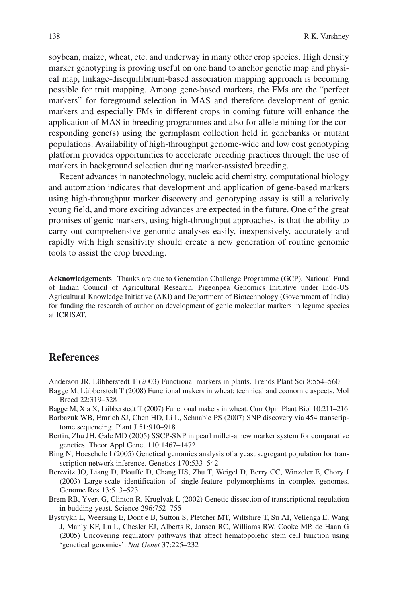soybean, maize, wheat, etc. and underway in many other crop species. High density marker genotyping is proving useful on one hand to anchor genetic map and physical map, linkage-disequilibrium-based association mapping approach is becoming possible for trait mapping. Among gene-based markers, the FMs are the "perfect markers" for foreground selection in MAS and therefore development of genic markers and especially FMs in different crops in coming future will enhance the application of MAS in breeding programmes and also for allele mining for the corresponding gene(s) using the germplasm collection held in genebanks or mutant populations. Availability of high-throughput genome-wide and low cost genotyping platform provides opportunities to accelerate breeding practices through the use of markers in background selection during marker-assisted breeding.

Recent advances in nanotechnology, nucleic acid chemistry, computational biology and automation indicates that development and application of gene-based markers using high-throughput marker discovery and genotyping assay is still a relatively young field, and more exciting advances are expected in the future. One of the great promises of genic markers, using high-throughput approaches, is that the ability to carry out comprehensive genomic analyses easily, inexpensively, accurately and rapidly with high sensitivity should create a new generation of routine genomic tools to assist the crop breeding.

**Acknowledgements** Thanks are due to Generation Challenge Programme (GCP), National Fund of Indian Council of Agricultural Research, Pigeonpea Genomics Initiative under Indo-US Agricultural Knowledge Initiative (AKI) and Department of Biotechnology (Government of India) for funding the research of author on development of genic molecular markers in legume species at ICRISAT.

## **References**

- <span id="page-19-0"></span>Anderson JR, Lübberstedt T (2003) Functional markers in plants. Trends Plant Sci 8:554–560
- <span id="page-19-7"></span>Bagge M, Lübberstedt T (2008) Functional makers in wheat: technical and economic aspects. Mol Breed 22:319–328
- <span id="page-19-8"></span>Bagge M, Xia X, Lübberstedt T (2007) Functional makers in wheat. Curr Opin Plant Biol 10:211–216
- <span id="page-19-6"></span>Barbazuk WB, Emrich SJ, Chen HD, Li L, Schnable PS (2007) SNP discovery via 454 transcriptome sequencing. Plant J 51:910–918
- <span id="page-19-1"></span>Bertin, Zhu JH, Gale MD (2005) SSCP-SNP in pearl millet-a new marker system for comparative genetics. Theor Appl Genet 110:1467–1472
- <span id="page-19-4"></span>Bing N, Hoeschele I (2005) Genetical genomics analysis of a yeast segregant population for transcription network inference. Genetics 170:533–542
- <span id="page-19-2"></span>Borevitz JO, Liang D, Plouffe D, Chang HS, Zhu T, Weigel D, Berry CC, Winzeler E, Chory J (2003) Large-scale identification of single-feature polymorphisms in complex genomes. Genome Res 13:513–523
- <span id="page-19-3"></span>Brem RB, Yvert G, Clinton R, Kruglyak L (2002) Genetic dissection of transcriptional regulation in budding yeast. Science 296:752–755
- <span id="page-19-5"></span>Bystrykh L, Weersing E, Dontje B, Sutton S, Pletcher MT, Wiltshire T, Su AI, Vellenga E, Wang J, Manly KF, Lu L, Chesler EJ, Alberts R, Jansen RC, Williams RW, Cooke MP, de Haan G (2005) Uncovering regulatory pathways that affect hematopoietic stem cell function using 'genetical genomics'. *Nat Genet* 37:225–232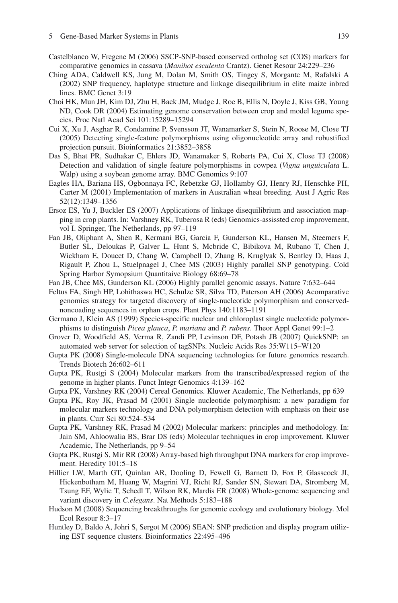- <span id="page-20-15"></span>Castelblanco W, Fregene M (2006) SSCP-SNP-based conserved ortholog set (COS) markers for comparative genomics in cassava (*Manihot esculenta* Crantz). Genet Resour 24:229–236
- <span id="page-20-4"></span>Ching ADA, Caldwell KS, Jung M, Dolan M, Smith OS, Tingey S, Morgante M, Rafalski A (2002) SNP frequency, haplotype structure and linkage disequilibrium in elite maize inbred lines. BMC Genet 3:19
- <span id="page-20-6"></span>Choi HK, Mun JH, Kim DJ, Zhu H, Baek JM, Mudge J, Roe B, Ellis N, Doyle J, Kiss GB, Young ND, Cook DR (2004) Estimating genome conservation between crop and model legume species. Proc Natl Acad Sci 101:15289–15294
- <span id="page-20-7"></span>Cui X, Xu J, Asghar R, Condamine P, Svensson JT, Wanamarker S, Stein N, Roose M, Close TJ (2005) Detecting single-feature polymorphisms using oligonucleotide array and robustified projection pursuit. Bioinformatics 21:3852–3858
- <span id="page-20-8"></span>Das S, Bhat PR, Sudhakar C, Ehlers JD, Wanamaker S, Roberts PA, Cui X, Close TJ (2008) Detection and validation of single feature polymorphisms in cowpea (*Vigna unguiculata* L. Walp) using a soybean genome array. BMC Genomics 9:107
- <span id="page-20-16"></span>Eagles HA, Bariana HS, Ogbonnaya FC, Rebetzke GJ, Hollamby GJ, Henry RJ, Henschke PH, Carter M (2001) Implementation of markers in Australian wheat breeding. Aust J Agric Res 52(12):1349–1356
- <span id="page-20-17"></span>Ersoz ES, Yu J, Buckler ES (2007) Applications of linkage disequilibrium and association mapping in crop plants. In: Varshney RK, Tuberosa R (eds) Genomics-assissted crop improvement, vol I. Springer, The Netherlands, pp 97–119
- <span id="page-20-11"></span>Fan JB, Oliphant A, Shen R, Kermani BG, Garcia F, Gunderson KL, Hansen M, Steemers F, Butler SL, Deloukas P, Galver L, Hunt S, Mcbride C, Bibikova M, Rubano T, Chen J, Wickham E, Doucet D, Chang W, Campbell D, Zhang B, Kruglyak S, Bentley D, Haas J, Rigault P, Zhou L, Stuelpnagel J, Chee MS (2003) Highly parallel SNP genotyping. Cold Spring Harbor Symopsium Quantitaive Biology 68:69–78
- <span id="page-20-5"></span>Fan JB, Chee MS, Gunderson KL (2006) Highly parallel genomic assays. Nature 7:632–644
- Feltus FA, Singh HP, Lohithaswa HC, Schulze SR, Silva TD, Paterson AH (2006) Acomparative genomics strategy for targeted discovery of single-nucleotide polymorphism and conservednoncoading sequences in orphan crops. Plant Phys 140:1183–1191
- Germano J, Klein AS (1999) Species-specific nuclear and chloroplast single nucleotide polymorphisms to distinguish *Picea glauca*, *P. mariana* and *P. rubens*. Theor Appl Genet 99:1–2
- <span id="page-20-3"></span>Grover D, Woodfield AS, Verma R, Zandi PP, Levinson DF, Potash JB (2007) QuickSNP: an automated web server for selection of tagSNPs. Nucleic Acids Res 35:W115–W120
- <span id="page-20-10"></span>Gupta PK (2008) Single-molecule DNA sequencing technologies for future genomics research. Trends Biotech 26:602–611
- <span id="page-20-13"></span>Gupta PK, Rustgi S (2004) Molecular markers from the transcribed/expressed region of the genome in higher plants. Funct Integr Genomics 4:139–162
- <span id="page-20-14"></span>Gupta PK, Varshney RK (2004) Cereal Genomics. Kluwer Academic, The Netherlands, pp 639
- <span id="page-20-1"></span>Gupta PK, Roy JK, Prasad M (2001) Single nucleotide polymorphism: a new paradigm for molecular markers technology and DNA polymorphism detection with emphasis on their use in plants. Curr Sci 80:524–534
- Gupta PK, Varshney RK, Prasad M (2002) Molecular markers: principles and methodology. In: Jain SM, Ahloowalia BS, Brar DS (eds) Molecular techniques in crop improvement. Kluwer Academic, The Netherlands, pp 9–54
- <span id="page-20-0"></span>Gupta PK, Rustgi S, Mir RR (2008) Array-based high throughput DNA markers for crop improvement. Heredity 101:5–18
- <span id="page-20-12"></span>Hillier LW, Marth GT, Quinlan AR, Dooling D, Fewell G, Barnett D, Fox P, Glasscock JI, Hickenbotham M, Huang W, Magrini VJ, Richt RJ, Sander SN, Stewart DA, Stromberg M, Tsung EF, Wylie T, Schedl T, Wilson RK, Mardis ER (2008) Whole-genome sequencing and variant discovery in *C.elegans*. Nat Methods 5:183–188
- <span id="page-20-9"></span>Hudson M (2008) Sequencing breakthroughs for genomic ecology and evolutionary biology. Mol Ecol Resour 8:3–17
- <span id="page-20-2"></span>Huntley D, Baldo A, Johri S, Sergot M (2006) SEAN: SNP prediction and display program utilizing EST sequence clusters. Bioinformatics 22:495–496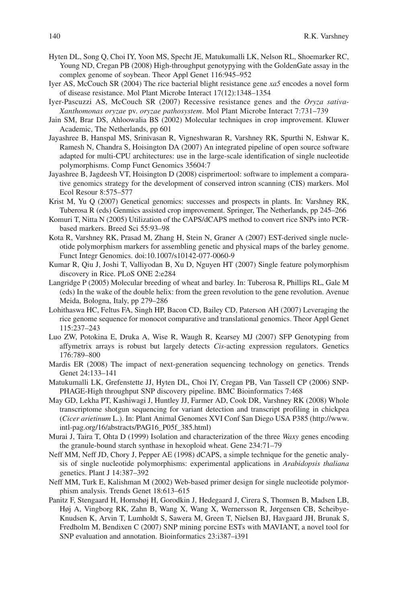- <span id="page-21-11"></span>Hyten DL, Song Q, Choi IY, Yoon MS, Specht JE, Matukumalli LK, Nelson RL, Shoemarker RC, Young ND, Cregan PB (2008) High-throughput genotypying with the GoldenGate assay in the complex genome of soybean. Theor Appl Genet 116:945–952
- <span id="page-21-18"></span>Iyer AS, McCouch SR (2004) The rice bacterial blight resistance gene *xa5* encodes a novel form of disease resistance. Mol Plant Microbe Interact 17(12):1348–1354
- <span id="page-21-19"></span>Iyer-Pascuzzi AS, McCouch SR (2007) Recessive resistance genes and the *Oryza sativa*-*Xanthomonas oryzae* pv. *oryzae pathosystem*. Mol Plant Microbe Interact 7:731–739
- <span id="page-21-0"></span>Jain SM, Brar DS, Ahloowalia BS (2002) Molecular techniques in crop improvement. Kluwer Academic, The Netherlands, pp 601
- <span id="page-21-3"></span>Jayashree B, Hanspal MS, Srinivasan R, Vigneshwaran R, Varshney RK, Spurthi N, Eshwar K, Ramesh N, Chandra S, Hoisington DA (2007) An integrated pipeline of open source software adapted for multi-CPU architectures: use in the large-scale identification of single nucleotide polymorphisms. Comp Funct Genomics 35604:7
- <span id="page-21-6"></span>Jayashree B, Jagdeesh VT, Hoisington D (2008) cisprimertool: software to implement a comparative genomics strategy for the development of conserved intron scanning (CIS) markers. Mol Ecol Resour 8:575–577
- <span id="page-21-7"></span>Krist M, Yu Q (2007) Genetical genomics: successes and prospects in plants. In: Varshney RK, Tuberosa R (eds) Genmics assisted crop improvement. Springer, The Netherlands, pp 245–266
- <span id="page-21-14"></span>Komuri T, Nitta N (2005) Utilization of the CAPS/dCAPS method to convert rice SNPs into PCRbased markers. Breed Sci 55:93–98
- <span id="page-21-13"></span>Kota R, Varshney RK, Prasad M, Zhang H, Stein N, Graner A (2007) EST-derived single nucleotide polymorphism markers for assembling genetic and physical maps of the barley genome. Funct Integr Genomics. doi:10.1007/s10142-077-0060-9
- <span id="page-21-8"></span>Kumar R, Qiu J, Joshi T, Valliyodan B, Xu D, Nguyen HT (2007) Single feature polymorphism discovery in Rice. PLoS ONE 2:e284
- <span id="page-21-16"></span>Langridge P (2005) Molecular breeding of wheat and barley. In: Tuberosa R, Phillips RL, Gale M (eds) In the wake of the double helix: from the green revolution to the gene revolution. Avenue Meida, Bologna, Italy, pp 279–286
- <span id="page-21-5"></span>Lohithaswa HC, Feltus FA, Singh HP, Bacon CD, Bailey CD, Paterson AH (2007) Leveraging the rice genome sequence for monocot comparative and translational genomics. Theor Appl Genet 115:237–243
- <span id="page-21-9"></span>Luo ZW, Potokina E, Druka A, Wise R, Waugh R, Kearsey MJ (2007) SFP Genotyping from affymetrix arrays is robust but largely detects *Cis*-acting expression regulators. Genetics 176:789–800
- <span id="page-21-10"></span>Mardis ER (2008) The impact of next-generation sequencing technology on genetics. Trends Genet 24:133–141
- <span id="page-21-2"></span>Matukumalli LK, Grefenstette JJ, Hyten DL, Choi IY, Cregan PB, Van Tassell CP (2006) SNP-PHAGE-High throughput SNP discovery pipeline. BMC Bioinformatics 7:468
- <span id="page-21-12"></span>May GD, Lekha PT, Kashiwagi J, Huntley JJ, Farmer AD, Cook DR, Varshney RK (2008) Whole transcriptome shotgun sequencing for variant detection and transcript profiling in chickpea (*Cicer arietinum* L.). In: Plant Animal Genomes XVI Conf San Diego USA P385 (http://www. intl-pag.org/16/abstracts/PAG16\_P05f\_385.html)
- <span id="page-21-17"></span>Murai J, Taira T, Ohta D (1999) Isolation and characterization of the three *Waxy* genes encoding the granule-bound starch synthase in hexoploid wheat. Gene 234:71–79
- <span id="page-21-15"></span>Neff MM, Neff JD, Chory J, Pepper AE (1998) dCAPS, a simple technique for the genetic analysis of single nucleotide polymorphisms: experimental applications in *Arabidopsis thaliana* genetics. Plant J 14:387–392
- <span id="page-21-4"></span>Neff MM, Turk E, Kalishman M (2002) Web-based primer design for single nucleotide polymorphism analysis. Trends Genet 18:613–615
- <span id="page-21-1"></span>Panitz F, Stengaard H, Hornshøj H, Gorodkin J, Hedegaard J, Cirera S, Thomsen B, Madsen LB, Høj A, Vingborg RK, Zahn B, Wang X, Wang X, Wernersson R, Jørgensen CB, Scheibye-Knudsen K, Arvin T, Lumholdt S, Sawera M, Green T, Nielsen BJ, Havgaard JH, Brunak S, Fredholm M, Bendixen C (2007) SNP mining porcine ESTs with MAVIANT, a novel tool for SNP evaluation and annotation. Bioinformatics 23:i387–i391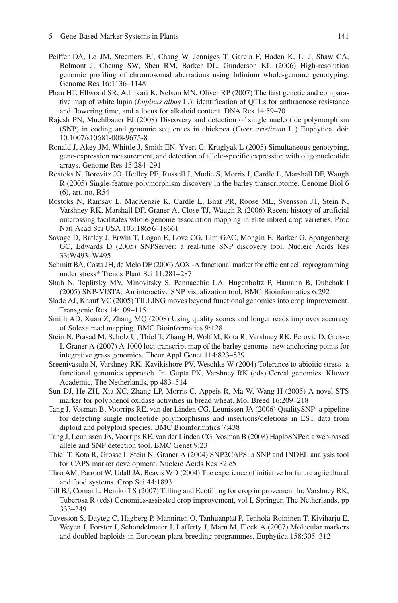- <span id="page-22-12"></span>Peiffer DA, Le JM, Steemers FJ, Chang W, Jenniges T, Garcia F, Haden K, Li J, Shaw CA, Belmont J, Cheung SW, Shen RM, Barker DL, Gunderson KL (2006) High-resolution genomic profiling of chromosomal aberrations using Infinium whole-genome genotyping. Genome Res 16:1136–1148
- <span id="page-22-6"></span>Phan HT, Ellwood SR, Adhikari K, Nelson MN, Oliver RP (2007) The first genetic and comparative map of white lupin (*Lupinus albus* L.): identification of QTLs for anthracnose resistance and flowering time, and a locus for alkaloid content. DNA Res 14:59–70
- <span id="page-22-5"></span>Rajesh PN, Muehlbauer FJ (2008) Discovery and detection of single nucleotide polymorphism (SNP) in coding and genomic sequences in chickpea (*Cicer arietinum* L.) Euphytica. doi: 10.1007/s10681-008-9675-8
- <span id="page-22-8"></span>Ronald J, Akey JM, Whittle J, Smith EN, Yvert G, Kruglyak L (2005) Simultaneous genotyping, gene-expression measurement, and detection of allele-specific expression with oligonucleotide arrays. Genome Res 15:284–291
- <span id="page-22-9"></span>Rostoks N, Borevitz JO, Hedley PE, Russell J, Mudie S, Morris J, Cardle L, Marshall DF, Waugh R (2005) Single-feature polymorphism discovery in the barley transcriptome. Genome Biol 6 (6), art. no. R54
- <span id="page-22-11"></span>Rostoks N, Ramsay L, MacKenzie K, Cardle L, Bhat PR, Roose ML, Svensson JT, Stein N, Varshney RK, Marshall DF, Graner A, Close TJ, Waugh R (2006) Recent history of artificial outcrossing facilitates whole-genome association mapping in elite inbred crop varieties. Proc Natl Acad Sci USA 103:18656–18661
- <span id="page-22-2"></span>Savage D, Batley J, Erwin T, Logan E, Love CG, Lim GAC, Mongin E, Barker G, Spangenberg GC, Edwards D (2005) SNPServer: a real-time SNP discovery tool. Nucleic Acids Res 33:W493–W495
- <span id="page-22-0"></span>Schmitt BA, Costa JH, de Melo DF (2006) AOX -A functional marker for efficient cell reprogramming under stress? Trends Plant Sci 11:281–287
- <span id="page-22-1"></span>Shah N, Teplitsky MV, Minovitsky S, Pennacchio LA, Hugenholtz P, Hamann B, Dubchak I (2005) SNP-VISTA: An interactive SNP visualization tool. BMC Bioinformatics 6:292
- Slade AJ, Knauf VC (2005) TILLING moves beyond functional genomics into crop improvement. Transgenic Res 14:109–115
- <span id="page-22-10"></span>Smith AD, Xuan Z, Zhang MQ (2008) Using quality scores and longer reads improves accuracy of Solexa read mapping. BMC Bioinformatics 9:128
- <span id="page-22-13"></span>Stein N, Prasad M, Scholz U, Thiel T, Zhang H, Wolf M, Kota R, Varshney RK, Perovic D, Grosse I, Graner A (2007) A 1000 loci transcript map of the barley genome- new anchoring points for integrative grass genomics. Theor Appl Genet 114:823–839
- <span id="page-22-7"></span>Sreenivasulu N, Varshney RK, Kavikishore PV, Weschke W (2004) Tolerance to abioitic stress- a functional genomics approach. In: Gupta PK, Varshney RK (eds) Cereal genomics. Kluwer Academic, The Netherlands, pp 483–514
- <span id="page-22-16"></span>Sun DJ, He ZH, Xia XC, Zhang LP, Morris C, Appeis R, Ma W, Wang H (2005) A novel STS marker for polyphenol oxidase activities in bread wheat. Mol Breed 16:209–218
- <span id="page-22-3"></span>Tang J, Vosman B, Voorrips RE, van der Linden CG, Leunissen JA (2006) QualitySNP: a pipeline for detecting single nucleotide polymorphisms and insertions/deletions in EST data from diploid and polyploid species. BMC Bioinformatics 7:438
- <span id="page-22-4"></span>Tang J, Leunissen JA, Voorrips RE, van der Linden CG, Vosman B (2008) HaploSNPer: a web-based allele and SNP detection tool. BMC Genet 9:23
- Thiel T, Kota R, Grosse I, Stein N, Graner A (2004) SNP2CAPS: a SNP and INDEL analysis tool for CAPS marker development. Nucleic Acids Res 32:e5
- <span id="page-22-15"></span>Thro AM, Parroot W, Udall JA, Beavis WD (2004) The experience of initiative for future agricultural and food systems. Crop Sci 44:1893
- <span id="page-22-17"></span>Till BJ, Comai L, Henikoff S (2007) Tilling and Ecotilling for crop improvement In: Varshney RK, Tuberosa R (eds) Genomics-assissted crop improvement, vol I, Springer, The Netherlands, pp 333–349
- <span id="page-22-14"></span>Tuvesson S, Dayteg C, Hagberg P, Manninen O, Tanhuanpää P, Tenhola-Roininen T, Kiviharju E, Weyen J, Förster J, Schondelmaier J, Lafferty J, Marn M, Fleck A (2007) Molecular markers and doubled haploids in European plant breeding programmes. Euphytica 158:305–312